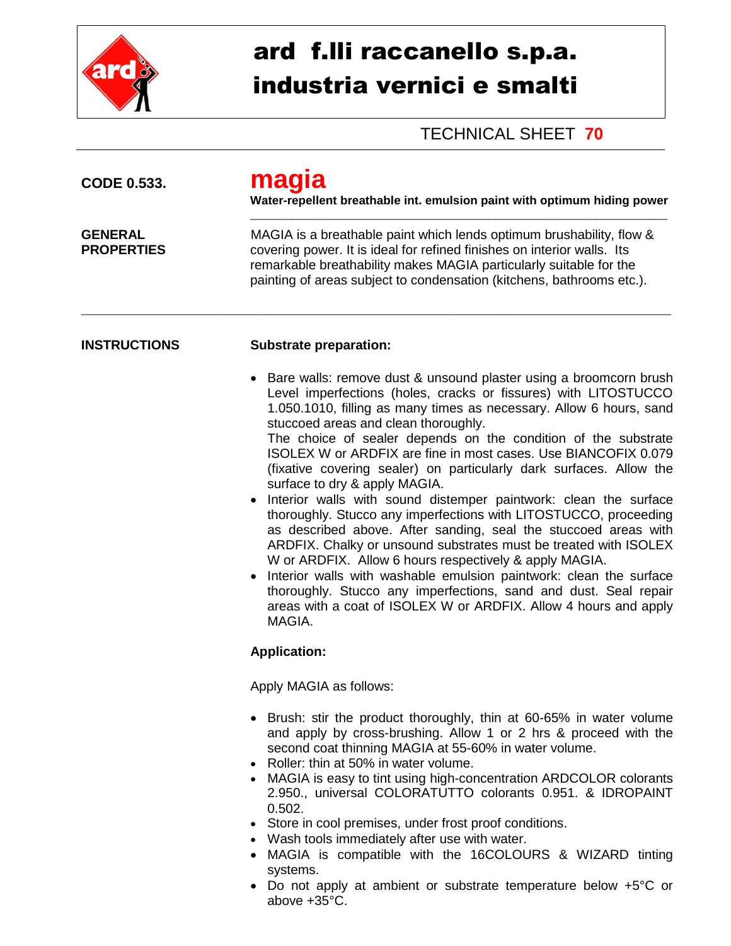

## ard f.lli raccanello s.p.a. industria vernici e smalti

TECHNICAL SHEET **70**

| <b>CODE 0.533.</b>                  | maq<br>Water-repellent breathable int. emulsion paint with optimum hiding power<br>MAGIA is a breathable paint which lends optimum brushability, flow &<br>covering power. It is ideal for refined finishes on interior walls. Its<br>remarkable breathability makes MAGIA particularly suitable for the<br>painting of areas subject to condensation (kitchens, bathrooms etc.).                                                                                                                                                                                                                                                                                                                                                                                                                                                                                                                                                                                                                                                                                |  |  |
|-------------------------------------|------------------------------------------------------------------------------------------------------------------------------------------------------------------------------------------------------------------------------------------------------------------------------------------------------------------------------------------------------------------------------------------------------------------------------------------------------------------------------------------------------------------------------------------------------------------------------------------------------------------------------------------------------------------------------------------------------------------------------------------------------------------------------------------------------------------------------------------------------------------------------------------------------------------------------------------------------------------------------------------------------------------------------------------------------------------|--|--|
| <b>GENERAL</b><br><b>PROPERTIES</b> |                                                                                                                                                                                                                                                                                                                                                                                                                                                                                                                                                                                                                                                                                                                                                                                                                                                                                                                                                                                                                                                                  |  |  |
| <b>INSTRUCTIONS</b>                 | <b>Substrate preparation:</b>                                                                                                                                                                                                                                                                                                                                                                                                                                                                                                                                                                                                                                                                                                                                                                                                                                                                                                                                                                                                                                    |  |  |
|                                     | Bare walls: remove dust & unsound plaster using a broomcorn brush<br>Level imperfections (holes, cracks or fissures) with LITOSTUCCO<br>1.050.1010, filling as many times as necessary. Allow 6 hours, sand<br>stuccoed areas and clean thoroughly.<br>The choice of sealer depends on the condition of the substrate<br>ISOLEX W or ARDFIX are fine in most cases. Use BIANCOFIX 0.079<br>(fixative covering sealer) on particularly dark surfaces. Allow the<br>surface to dry & apply MAGIA.<br>Interior walls with sound distemper paintwork: clean the surface<br>thoroughly. Stucco any imperfections with LITOSTUCCO, proceeding<br>as described above. After sanding, seal the stuccoed areas with<br>ARDFIX. Chalky or unsound substrates must be treated with ISOLEX<br>W or ARDFIX. Allow 6 hours respectively & apply MAGIA.<br>Interior walls with washable emulsion paintwork: clean the surface<br>thoroughly. Stucco any imperfections, sand and dust. Seal repair<br>areas with a coat of ISOLEX W or ARDFIX. Allow 4 hours and apply<br>MAGIA. |  |  |
|                                     | <b>Application:</b>                                                                                                                                                                                                                                                                                                                                                                                                                                                                                                                                                                                                                                                                                                                                                                                                                                                                                                                                                                                                                                              |  |  |
|                                     | Apply MAGIA as follows:                                                                                                                                                                                                                                                                                                                                                                                                                                                                                                                                                                                                                                                                                                                                                                                                                                                                                                                                                                                                                                          |  |  |
|                                     | • Brush: stir the product thoroughly, thin at 60-65% in water volume<br>and apply by cross-brushing. Allow 1 or 2 hrs & proceed with the<br>second coat thinning MAGIA at 55-60% in water volume.<br>Roller: thin at 50% in water volume.<br>• MAGIA is easy to tint using high-concentration ARDCOLOR colorants<br>2.950., universal COLORATUTTO colorants 0.951. & IDROPAINT<br>0.502.<br>• Store in cool premises, under frost proof conditions.<br>• Wash tools immediately after use with water.<br>• MAGIA is compatible with the 16COLOURS & WIZARD tinting<br>systems.<br>Do not apply at ambient or substrate temperature below $+5^{\circ}$ C or<br>above +35°C.                                                                                                                                                                                                                                                                                                                                                                                       |  |  |